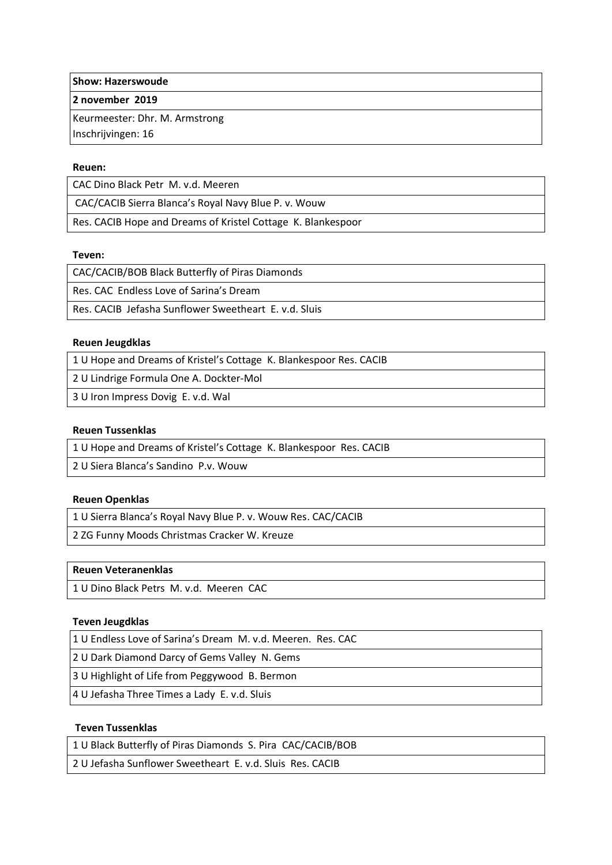**Show: Hazerswoude**

**2 november 2019**

Keurmeester: Dhr. M. Armstrong

Inschrijvingen: 16

#### **Reuen:**

CAC Dino Black Petr M. v.d. Meeren

CAC/CACIB Sierra Blanca's Royal Navy Blue P. v. Wouw

Res. CACIB Hope and Dreams of Kristel Cottage K. Blankespoor

#### **Teven:**

CAC/CACIB/BOB Black Butterfly of Piras Diamonds

Res. CAC Endless Love of Sarina's Dream

Res. CACIB Jefasha Sunflower Sweetheart E. v.d. Sluis

#### **Reuen Jeugdklas**

1 U Hope and Dreams of Kristel's Cottage K. Blankespoor Res. CACIB

2 U Lindrige Formula One A. Dockter-Mol

3 U Iron Impress Dovig E. v.d. Wal

#### **Reuen Tussenklas**

1 U Hope and Dreams of Kristel's Cottage K. Blankespoor Res. CACIB

2 U Siera Blanca's Sandino P.v. Wouw

## **Reuen Openklas**

1 U Sierra Blanca's Royal Navy Blue P. v. Wouw Res. CAC/CACIB

2 ZG Funny Moods Christmas Cracker W. Kreuze

## **Reuen Veteranenklas**

1 U Dino Black Petrs M. v.d. Meeren CAC

## **Teven Jeugdklas**

1 U Endless Love of Sarina's Dream M. v.d. Meeren. Res. CAC

2 U Dark Diamond Darcy of Gems Valley N. Gems

3 U Highlight of Life from Peggywood B. Bermon

4 U Jefasha Three Times a Lady E. v.d. Sluis

## **Teven Tussenklas**

1 U Black Butterfly of Piras Diamonds S. Pira CAC/CACIB/BOB

2 U Jefasha Sunflower Sweetheart E. v.d. Sluis Res. CACIB